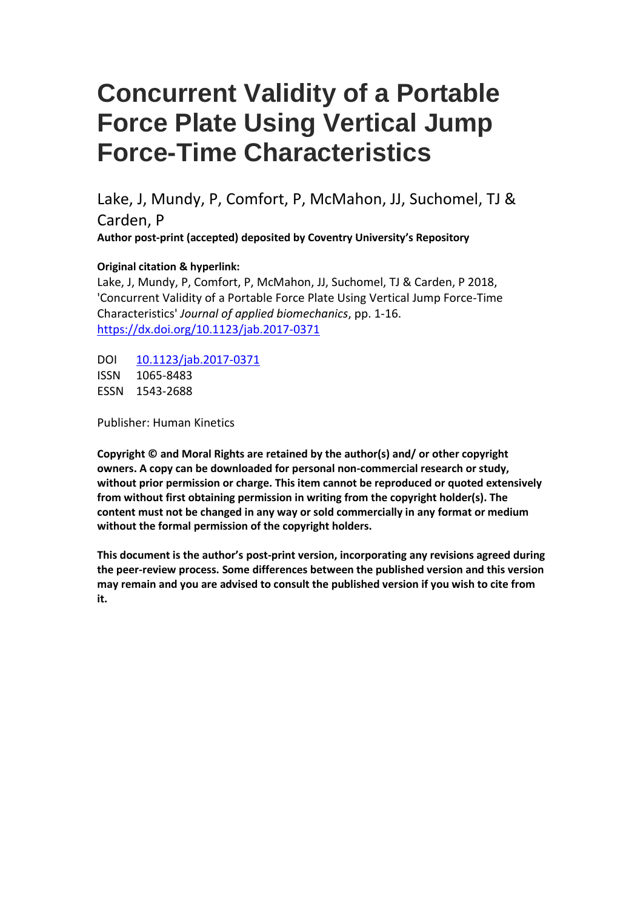# **Concurrent Validity of a Portable Force Plate Using Vertical Jump Force-Time Characteristics**

Lake, J, Mundy, P, Comfort, P, McMahon, JJ, Suchomel, TJ & Carden, P **Author post-print (accepted) deposited by Coventry University's Repository**

### **Original citation & hyperlink:**

Lake, J, Mundy, P, Comfort, P, McMahon, JJ, Suchomel, TJ & Carden, P 2018, 'Concurrent Validity of a Portable Force Plate Using Vertical Jump Force-Time Characteristics' *Journal of applied biomechanics*, pp. 1-16. <https://dx.doi.org/10.1123/jab.2017-0371>

DOI [10.1123/jab.2017-0371](http://dx.doi.org/10.1123/jab.2017-0371) ISSN 1065-8483 ESSN 1543-2688

Publisher: Human Kinetics

**Copyright © and Moral Rights are retained by the author(s) and/ or other copyright owners. A copy can be downloaded for personal non-commercial research or study, without prior permission or charge. This item cannot be reproduced or quoted extensively from without first obtaining permission in writing from the copyright holder(s). The content must not be changed in any way or sold commercially in any format or medium without the formal permission of the copyright holders.** 

**This document is the author's post-print version, incorporating any revisions agreed during the peer-review process. Some differences between the published version and this version may remain and you are advised to consult the published version if you wish to cite from it.**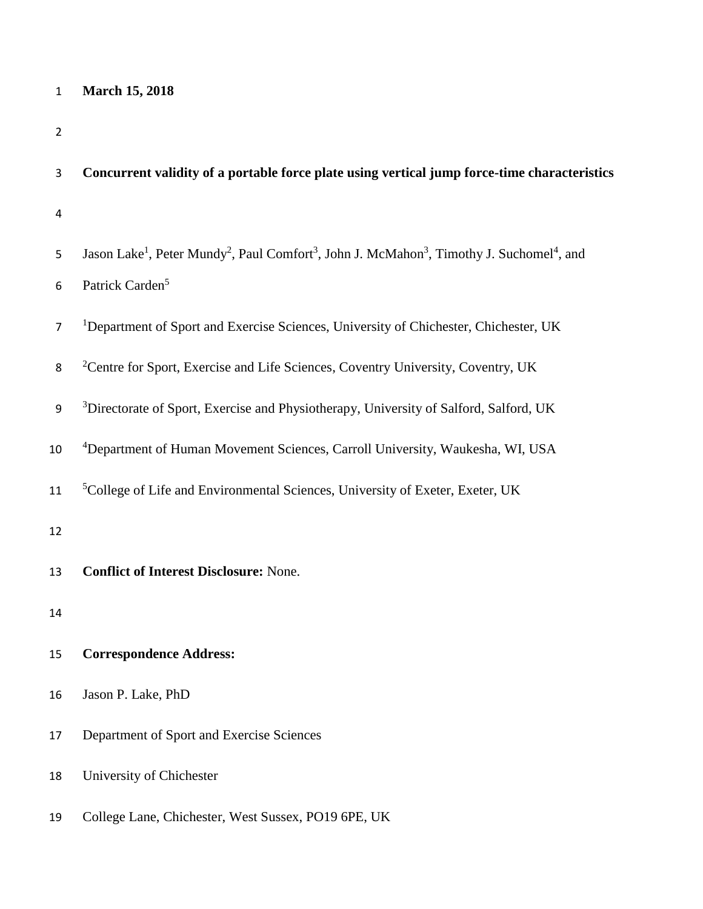# 1 **March 15, 2018**

| 3              | Concurrent validity of a portable force plate using vertical jump force-time characteristics                                                           |
|----------------|--------------------------------------------------------------------------------------------------------------------------------------------------------|
| $\overline{a}$ |                                                                                                                                                        |
| 5              | Jason Lake <sup>1</sup> , Peter Mundy <sup>2</sup> , Paul Comfort <sup>3</sup> , John J. McMahon <sup>3</sup> , Timothy J. Suchomel <sup>4</sup> , and |
| 6              | Patrick Carden <sup>5</sup>                                                                                                                            |
| $\overline{7}$ | <sup>1</sup> Department of Sport and Exercise Sciences, University of Chichester, Chichester, UK                                                       |
| 8              | <sup>2</sup> Centre for Sport, Exercise and Life Sciences, Coventry University, Coventry, UK                                                           |
| 9              | <sup>3</sup> Directorate of Sport, Exercise and Physiotherapy, University of Salford, Salford, UK                                                      |
| 10             | <sup>4</sup> Department of Human Movement Sciences, Carroll University, Waukesha, WI, USA                                                              |
| 11             | <sup>5</sup> College of Life and Environmental Sciences, University of Exeter, Exeter, UK                                                              |
| 12             |                                                                                                                                                        |
| 13             | <b>Conflict of Interest Disclosure: None.</b>                                                                                                          |
| 14             |                                                                                                                                                        |
| 15             | <b>Correspondence Address:</b>                                                                                                                         |
| 16             | Jason P. Lake, PhD                                                                                                                                     |
| 17             | Department of Sport and Exercise Sciences                                                                                                              |
| 18             | University of Chichester                                                                                                                               |
| 19             | College Lane, Chichester, West Sussex, PO19 6PE, UK                                                                                                    |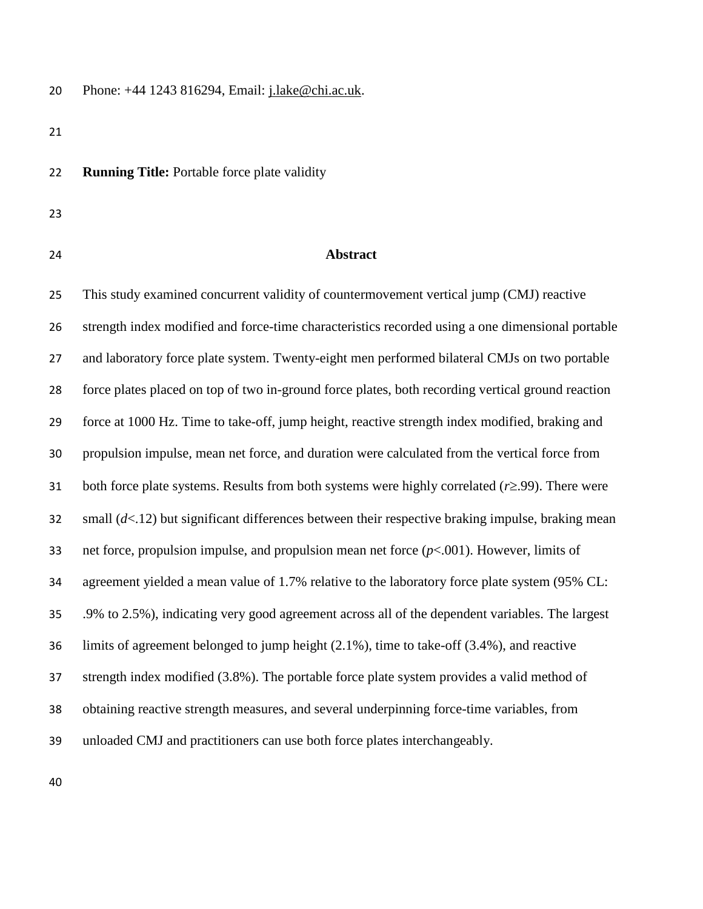Phone: +44 1243 816294, Email: [j.lake@chi.ac.uk.](mailto:j.lake@chi.ac.uk)

**Running Title:** Portable force plate validity

- 
- 

#### **Abstract**

 This study examined concurrent validity of countermovement vertical jump (CMJ) reactive strength index modified and force-time characteristics recorded using a one dimensional portable and laboratory force plate system. Twenty-eight men performed bilateral CMJs on two portable force plates placed on top of two in-ground force plates, both recording vertical ground reaction force at 1000 Hz. Time to take-off, jump height, reactive strength index modified, braking and propulsion impulse, mean net force, and duration were calculated from the vertical force from 31 both force plate systems. Results from both systems were highly correlated  $(r \ge 0.99)$ . There were small (*d*<.12) but significant differences between their respective braking impulse, braking mean net force, propulsion impulse, and propulsion mean net force (*p*<.001). However, limits of agreement yielded a mean value of 1.7% relative to the laboratory force plate system (95% CL: .9% to 2.5%), indicating very good agreement across all of the dependent variables. The largest limits of agreement belonged to jump height (2.1%), time to take-off (3.4%), and reactive strength index modified (3.8%). The portable force plate system provides a valid method of obtaining reactive strength measures, and several underpinning force-time variables, from unloaded CMJ and practitioners can use both force plates interchangeably.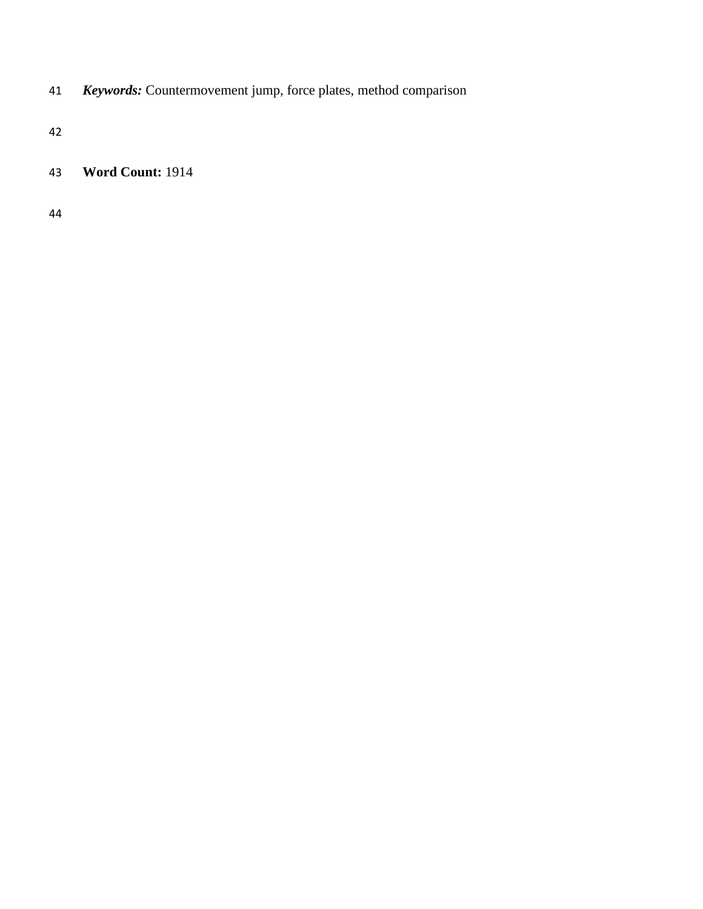*Keywords:* Countermovement jump, force plates, method comparison

# **Word Count:** 1914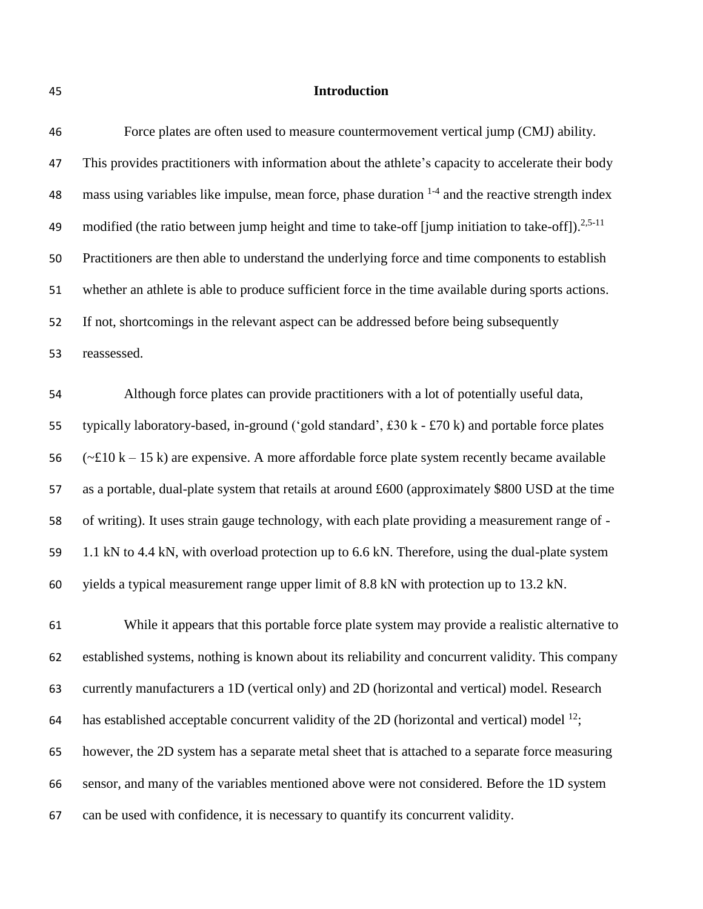#### **Introduction**

| 46 | Force plates are often used to measure countermovement vertical jump (CMJ) ability.                 |
|----|-----------------------------------------------------------------------------------------------------|
| 47 | This provides practitioners with information about the athlete's capacity to accelerate their body  |
| 48 | mass using variables like impulse, mean force, phase duration $1-4$ and the reactive strength index |

49 modified (the ratio between jump height and time to take-off [jump initiation to take-off]).  $2.5-11$ 

Practitioners are then able to understand the underlying force and time components to establish

whether an athlete is able to produce sufficient force in the time available during sports actions.

If not, shortcomings in the relevant aspect can be addressed before being subsequently

reassessed.

 Although force plates can provide practitioners with a lot of potentially useful data, typically laboratory-based, in-ground ('gold standard', £30 k - £70 k) and portable force plates  $(-\text{\textsterling}10 \text{ k} - 15 \text{ k})$  are expensive. A more affordable force plate system recently became available as a portable, dual-plate system that retails at around £600 (approximately \$800 USD at the time of writing). It uses strain gauge technology, with each plate providing a measurement range of - 1.1 kN to 4.4 kN, with overload protection up to 6.6 kN. Therefore, using the dual-plate system yields a typical measurement range upper limit of 8.8 kN with protection up to 13.2 kN.

 While it appears that this portable force plate system may provide a realistic alternative to established systems, nothing is known about its reliability and concurrent validity. This company currently manufacturers a 1D (vertical only) and 2D (horizontal and vertical) model. Research has established acceptable concurrent validity of the 2D (horizontal and vertical) model  $^{12}$ ; however, the 2D system has a separate metal sheet that is attached to a separate force measuring sensor, and many of the variables mentioned above were not considered. Before the 1D system can be used with confidence, it is necessary to quantify its concurrent validity.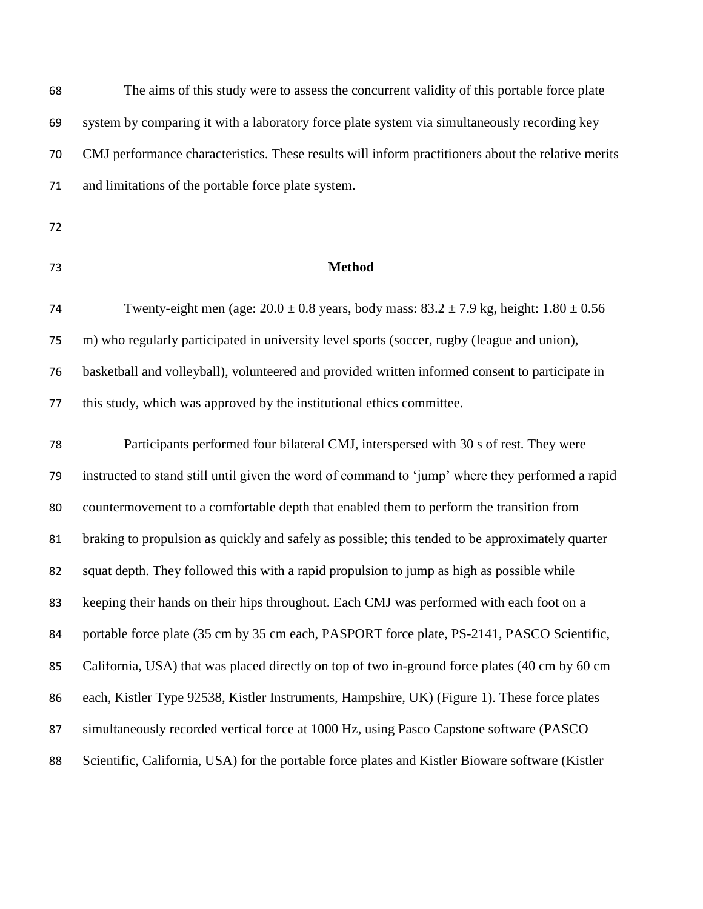| 68 | The aims of this study were to assess the concurrent validity of this portable force plate         |
|----|----------------------------------------------------------------------------------------------------|
| 69 | system by comparing it with a laboratory force plate system via simultaneously recording key       |
| 70 | CMJ performance characteristics. These results will inform practitioners about the relative merits |
| 71 | and limitations of the portable force plate system.                                                |
| 72 |                                                                                                    |
| 73 | <b>Method</b>                                                                                      |
| 74 | Twenty-eight men (age: $20.0 \pm 0.8$ years, body mass: $83.2 \pm 7.9$ kg, height: $1.80 \pm 0.56$ |
| 75 | m) who regularly participated in university level sports (soccer, rugby (league and union),        |
| 76 | basketball and volleyball), volunteered and provided written informed consent to participate in    |
| 77 | this study, which was approved by the institutional ethics committee.                              |
| 78 | Participants performed four bilateral CMJ, interspersed with 30 s of rest. They were               |
| 79 | instructed to stand still until given the word of command to 'jump' where they performed a rapid   |
| 80 | countermovement to a comfortable depth that enabled them to perform the transition from            |
| 81 | braking to propulsion as quickly and safely as possible; this tended to be approximately quarter   |
| 82 | squat depth. They followed this with a rapid propulsion to jump as high as possible while          |
| 83 | keeping their hands on their hips throughout. Each CMJ was performed with each foot on a           |
| 84 | portable force plate (35 cm by 35 cm each, PASPORT force plate, PS-2141, PASCO Scientific,         |
| 85 | California, USA) that was placed directly on top of two in-ground force plates (40 cm by 60 cm     |
| 86 | each, Kistler Type 92538, Kistler Instruments, Hampshire, UK) (Figure 1). These force plates       |
| 87 | simultaneously recorded vertical force at 1000 Hz, using Pasco Capstone software (PASCO)           |
| 88 | Scientific, California, USA) for the portable force plates and Kistler Bioware software (Kistler   |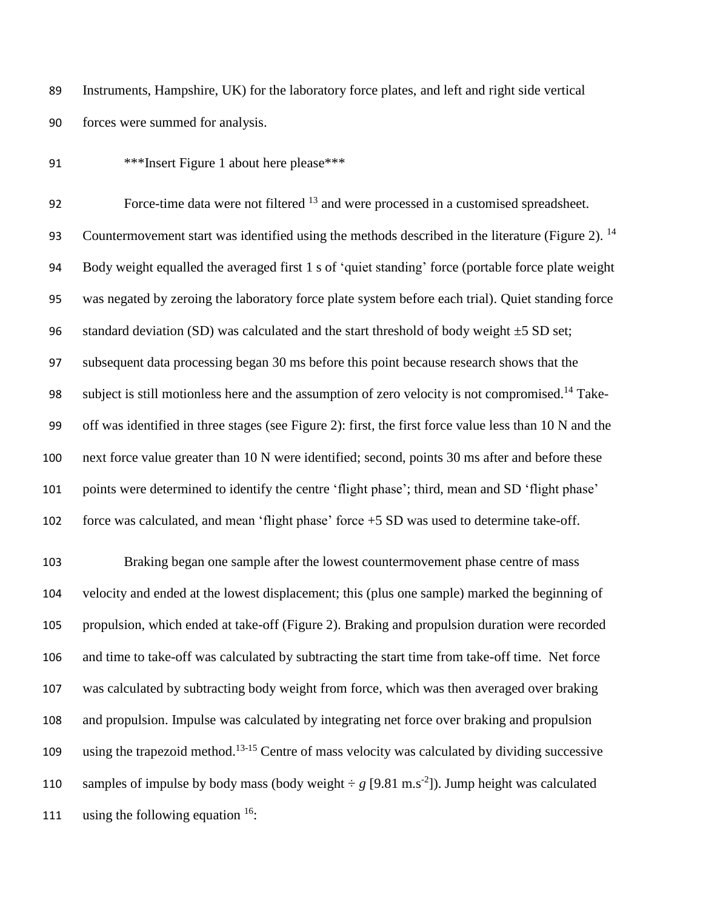Instruments, Hampshire, UK) for the laboratory force plates, and left and right side vertical forces were summed for analysis.

\*\*\*Insert Figure 1 about here please\*\*\*

Force-time data were not filtered and were processed in a customised spreadsheet. 93 Countermovement start was identified using the methods described in the literature (Figure 2).  $^{14}$  Body weight equalled the averaged first 1 s of 'quiet standing' force (portable force plate weight was negated by zeroing the laboratory force plate system before each trial). Quiet standing force 96 standard deviation (SD) was calculated and the start threshold of body weight  $\pm$ 5 SD set; subsequent data processing began 30 ms before this point because research shows that the 98 subject is still motionless here and the assumption of zero velocity is not compromised.<sup>14</sup> Take- off was identified in three stages (see Figure 2): first, the first force value less than 10 N and the next force value greater than 10 N were identified; second, points 30 ms after and before these points were determined to identify the centre 'flight phase'; third, mean and SD 'flight phase' force was calculated, and mean 'flight phase' force +5 SD was used to determine take-off.

 Braking began one sample after the lowest countermovement phase centre of mass velocity and ended at the lowest displacement; this (plus one sample) marked the beginning of propulsion, which ended at take-off (Figure 2). Braking and propulsion duration were recorded and time to take-off was calculated by subtracting the start time from take-off time. Net force was calculated by subtracting body weight from force, which was then averaged over braking and propulsion. Impulse was calculated by integrating net force over braking and propulsion 109 using the trapezoid method.<sup>13-15</sup> Centre of mass velocity was calculated by dividing successive 110 samples of impulse by body mass (body weight  $\div g$  [9.81 m.s<sup>-2</sup>]). Jump height was calculated 111 using the following equation .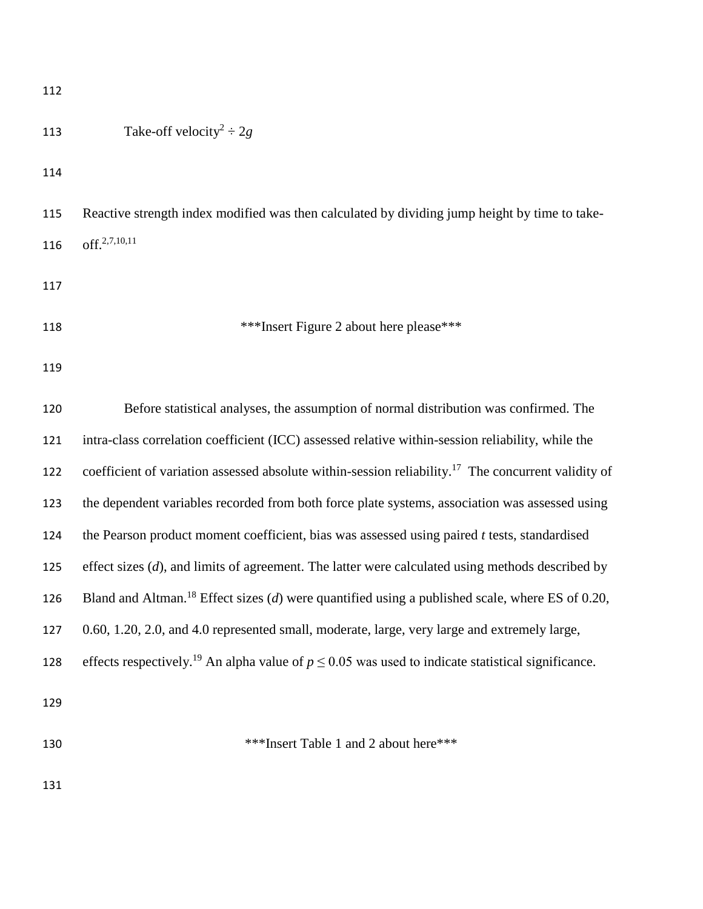| 112 |                                                                                                                   |
|-----|-------------------------------------------------------------------------------------------------------------------|
| 113 | Take-off velocity <sup>2</sup> $\div 2g$                                                                          |
| 114 |                                                                                                                   |
| 115 | Reactive strength index modified was then calculated by dividing jump height by time to take-                     |
| 116 | off. <sup>2,7,10,11</sup>                                                                                         |
| 117 |                                                                                                                   |
| 118 | ***Insert Figure 2 about here please***                                                                           |
| 119 |                                                                                                                   |
| 120 | Before statistical analyses, the assumption of normal distribution was confirmed. The                             |
| 121 | intra-class correlation coefficient (ICC) assessed relative within-session reliability, while the                 |
| 122 | coefficient of variation assessed absolute within-session reliability. <sup>17</sup> The concurrent validity of   |
| 123 | the dependent variables recorded from both force plate systems, association was assessed using                    |
| 124 | the Pearson product moment coefficient, bias was assessed using paired $t$ tests, standardised                    |
| 125 | effect sizes $(d)$ , and limits of agreement. The latter were calculated using methods described by               |
| 126 | Bland and Altman. <sup>18</sup> Effect sizes (d) were quantified using a published scale, where ES of 0.20,       |
| 127 | 0.60, 1.20, 2.0, and 4.0 represented small, moderate, large, very large and extremely large,                      |
| 128 | effects respectively. <sup>19</sup> An alpha value of $p \le 0.05$ was used to indicate statistical significance. |
| 129 |                                                                                                                   |

130 \*\*\*Insert Table 1 and 2 about here\*\*\*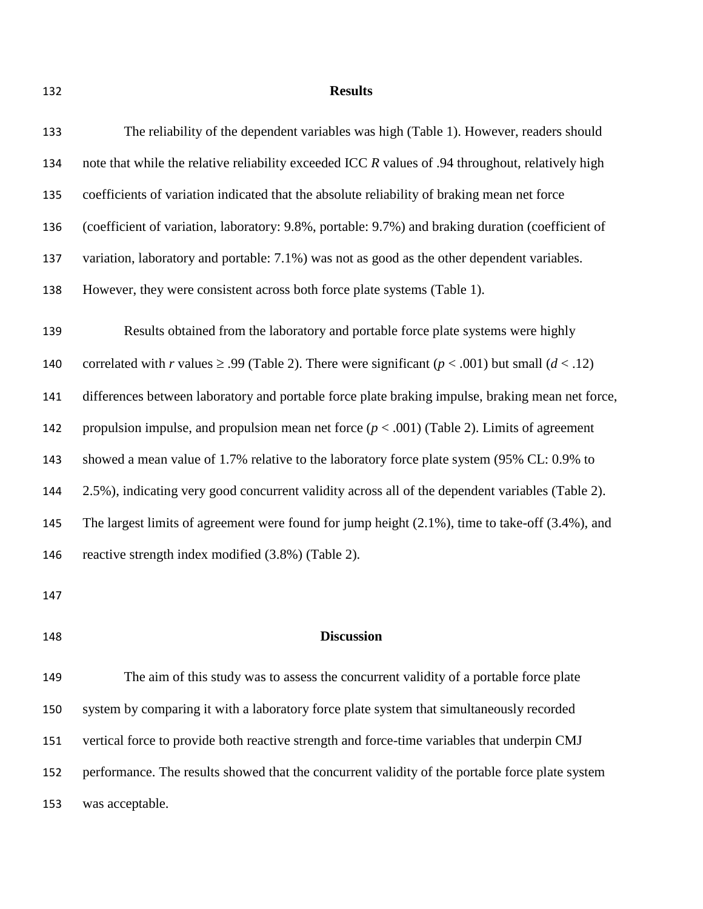### **Results**

| 133 | The reliability of the dependent variables was high (Table 1). However, readers should                       |  |  |  |  |
|-----|--------------------------------------------------------------------------------------------------------------|--|--|--|--|
| 134 | note that while the relative reliability exceeded ICC R values of .94 throughout, relatively high            |  |  |  |  |
| 135 | coefficients of variation indicated that the absolute reliability of braking mean net force                  |  |  |  |  |
| 136 | (coefficient of variation, laboratory: 9.8%, portable: 9.7%) and braking duration (coefficient of            |  |  |  |  |
| 137 | variation, laboratory and portable: 7.1%) was not as good as the other dependent variables.                  |  |  |  |  |
| 138 | However, they were consistent across both force plate systems (Table 1).                                     |  |  |  |  |
| 139 | Results obtained from the laboratory and portable force plate systems were highly                            |  |  |  |  |
| 140 | correlated with r values $\geq$ .99 (Table 2). There were significant ( $p < .001$ ) but small ( $d < .12$ ) |  |  |  |  |
| 141 | differences between laboratory and portable force plate braking impulse, braking mean net force,             |  |  |  |  |
| 142 | propulsion impulse, and propulsion mean net force $(p < .001)$ (Table 2). Limits of agreement                |  |  |  |  |
| 143 | showed a mean value of 1.7% relative to the laboratory force plate system (95% CL: 0.9% to                   |  |  |  |  |
| 144 | 2.5%), indicating very good concurrent validity across all of the dependent variables (Table 2).             |  |  |  |  |
| 145 | The largest limits of agreement were found for jump height $(2.1\%)$ , time to take-off $(3.4\%)$ , and      |  |  |  |  |
| 146 | reactive strength index modified (3.8%) (Table 2).                                                           |  |  |  |  |
|     |                                                                                                              |  |  |  |  |

## **Discussion**

 The aim of this study was to assess the concurrent validity of a portable force plate system by comparing it with a laboratory force plate system that simultaneously recorded vertical force to provide both reactive strength and force-time variables that underpin CMJ performance. The results showed that the concurrent validity of the portable force plate system was acceptable.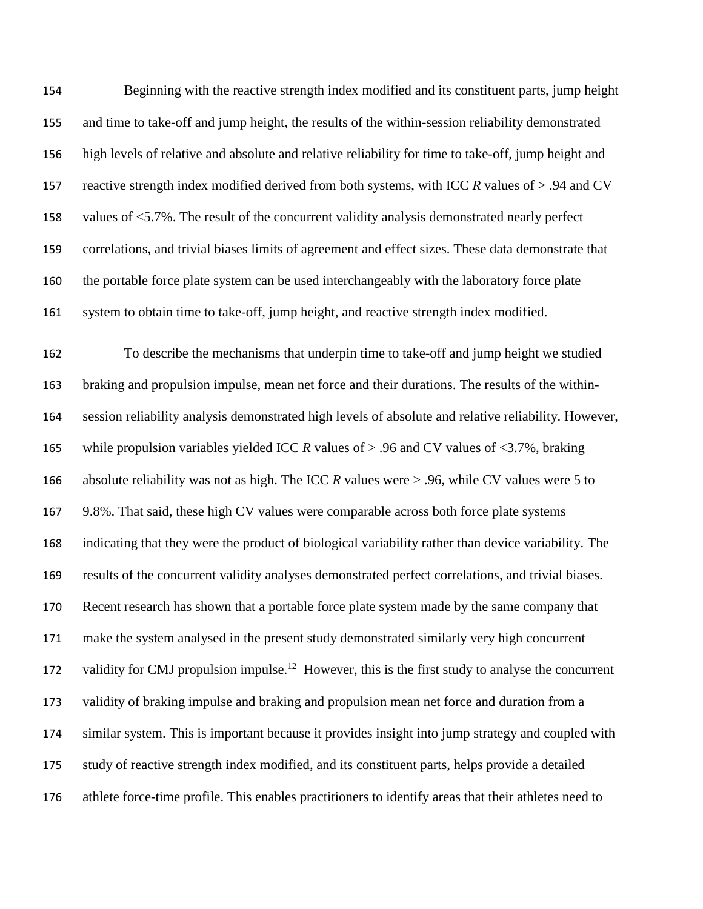Beginning with the reactive strength index modified and its constituent parts, jump height and time to take-off and jump height, the results of the within-session reliability demonstrated high levels of relative and absolute and relative reliability for time to take-off, jump height and reactive strength index modified derived from both systems, with ICC *R* values of > .94 and CV values of <5.7%. The result of the concurrent validity analysis demonstrated nearly perfect correlations, and trivial biases limits of agreement and effect sizes. These data demonstrate that the portable force plate system can be used interchangeably with the laboratory force plate system to obtain time to take-off, jump height, and reactive strength index modified. To describe the mechanisms that underpin time to take-off and jump height we studied braking and propulsion impulse, mean net force and their durations. The results of the within- session reliability analysis demonstrated high levels of absolute and relative reliability. However, 165 while propulsion variables yielded ICC *R* values of > .96 and CV values of <3.7%, braking absolute reliability was not as high. The ICC *R* values were > .96, while CV values were 5 to 9.8%. That said, these high CV values were comparable across both force plate systems indicating that they were the product of biological variability rather than device variability. The results of the concurrent validity analyses demonstrated perfect correlations, and trivial biases. Recent research has shown that a portable force plate system made by the same company that make the system analysed in the present study demonstrated similarly very high concurrent 172 validity for CMJ propulsion impulse.<sup>12</sup> However, this is the first study to analyse the concurrent validity of braking impulse and braking and propulsion mean net force and duration from a similar system. This is important because it provides insight into jump strategy and coupled with study of reactive strength index modified, and its constituent parts, helps provide a detailed athlete force-time profile. This enables practitioners to identify areas that their athletes need to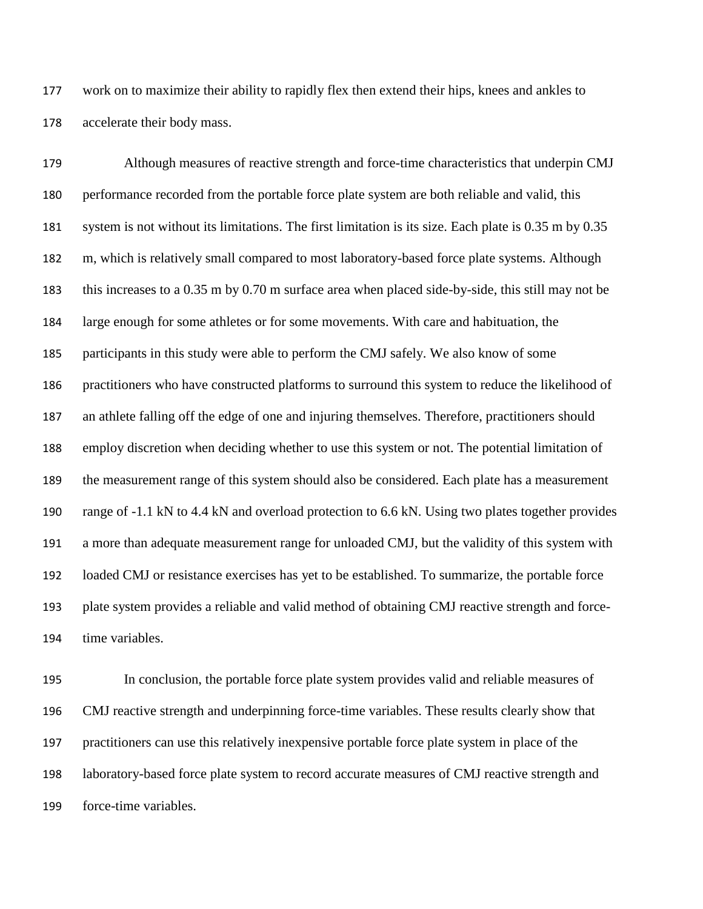work on to maximize their ability to rapidly flex then extend their hips, knees and ankles to accelerate their body mass.

 Although measures of reactive strength and force-time characteristics that underpin CMJ performance recorded from the portable force plate system are both reliable and valid, this system is not without its limitations. The first limitation is its size. Each plate is 0.35 m by 0.35 m, which is relatively small compared to most laboratory-based force plate systems. Although this increases to a 0.35 m by 0.70 m surface area when placed side-by-side, this still may not be large enough for some athletes or for some movements. With care and habituation, the participants in this study were able to perform the CMJ safely. We also know of some practitioners who have constructed platforms to surround this system to reduce the likelihood of an athlete falling off the edge of one and injuring themselves. Therefore, practitioners should employ discretion when deciding whether to use this system or not. The potential limitation of the measurement range of this system should also be considered. Each plate has a measurement range of -1.1 kN to 4.4 kN and overload protection to 6.6 kN. Using two plates together provides a more than adequate measurement range for unloaded CMJ, but the validity of this system with loaded CMJ or resistance exercises has yet to be established. To summarize, the portable force plate system provides a reliable and valid method of obtaining CMJ reactive strength and force-time variables.

 In conclusion, the portable force plate system provides valid and reliable measures of CMJ reactive strength and underpinning force-time variables. These results clearly show that practitioners can use this relatively inexpensive portable force plate system in place of the laboratory-based force plate system to record accurate measures of CMJ reactive strength and force-time variables.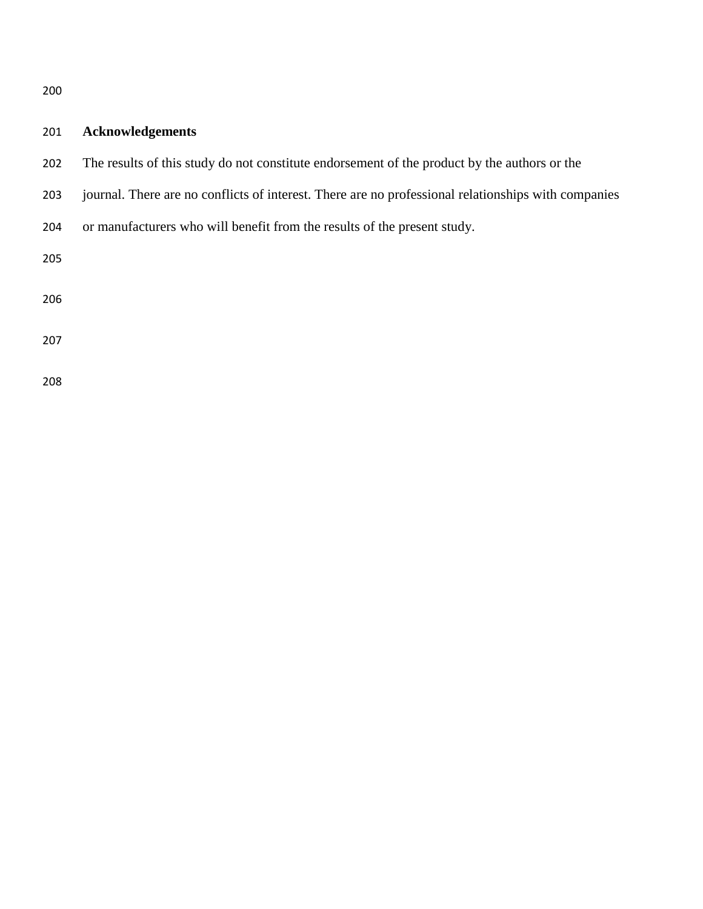# **Acknowledgements**

- The results of this study do not constitute endorsement of the product by the authors or the
- journal. There are no conflicts of interest. There are no professional relationships with companies
- or manufacturers who will benefit from the results of the present study.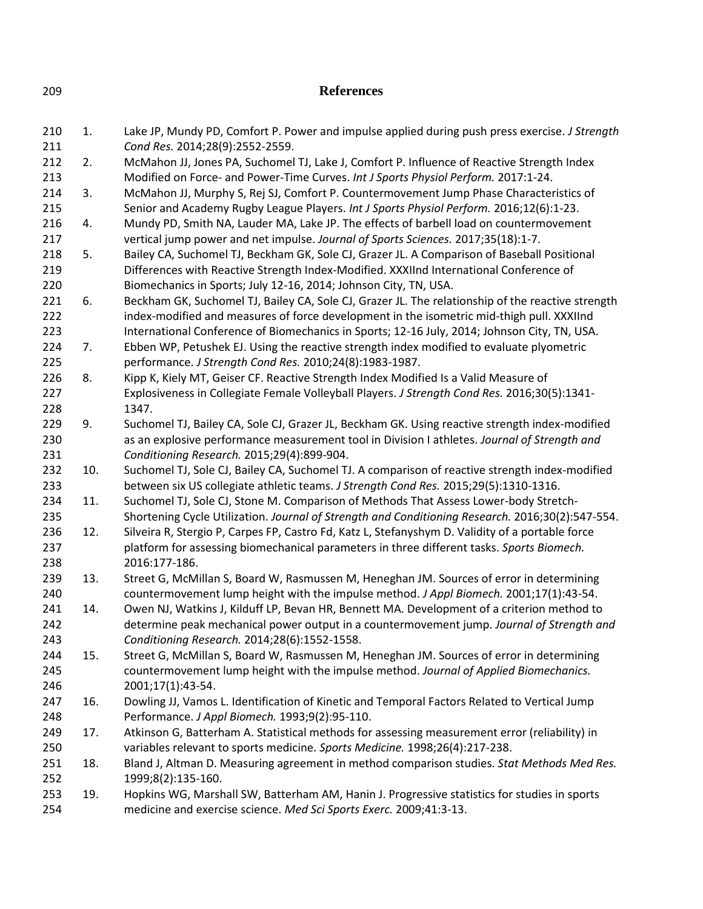| 209               | <b>References</b> |                                                                                                                                                                                                                                                                    |  |  |  |  |  |
|-------------------|-------------------|--------------------------------------------------------------------------------------------------------------------------------------------------------------------------------------------------------------------------------------------------------------------|--|--|--|--|--|
| 210<br>211        | 1.                | Lake JP, Mundy PD, Comfort P. Power and impulse applied during push press exercise. J Strength<br>Cond Res. 2014;28(9):2552-2559.                                                                                                                                  |  |  |  |  |  |
| 212<br>213        | 2.                | McMahon JJ, Jones PA, Suchomel TJ, Lake J, Comfort P. Influence of Reactive Strength Index<br>Modified on Force- and Power-Time Curves. Int J Sports Physiol Perform. 2017:1-24.                                                                                   |  |  |  |  |  |
| 214<br>215        | 3.                | McMahon JJ, Murphy S, Rej SJ, Comfort P. Countermovement Jump Phase Characteristics of<br>Senior and Academy Rugby League Players. Int J Sports Physiol Perform. 2016;12(6):1-23.                                                                                  |  |  |  |  |  |
| 216<br>217        | 4.                | Mundy PD, Smith NA, Lauder MA, Lake JP. The effects of barbell load on countermovement<br>vertical jump power and net impulse. Journal of Sports Sciences. 2017;35(18):1-7.                                                                                        |  |  |  |  |  |
| 218<br>219        | 5.                | Bailey CA, Suchomel TJ, Beckham GK, Sole CJ, Grazer JL. A Comparison of Baseball Positional<br>Differences with Reactive Strength Index-Modified. XXXIInd International Conference of                                                                              |  |  |  |  |  |
| 220<br>221<br>222 | 6.                | Biomechanics in Sports; July 12-16, 2014; Johnson City, TN, USA.<br>Beckham GK, Suchomel TJ, Bailey CA, Sole CJ, Grazer JL. The relationship of the reactive strength<br>index-modified and measures of force development in the isometric mid-thigh pull. XXXIInd |  |  |  |  |  |
| 223<br>224        | 7.                | International Conference of Biomechanics in Sports; 12-16 July, 2014; Johnson City, TN, USA.<br>Ebben WP, Petushek EJ. Using the reactive strength index modified to evaluate plyometric                                                                           |  |  |  |  |  |
| 225<br>226        | 8.                | performance. J Strength Cond Res. 2010;24(8):1983-1987.<br>Kipp K, Kiely MT, Geiser CF. Reactive Strength Index Modified Is a Valid Measure of                                                                                                                     |  |  |  |  |  |
| 227<br>228        |                   | Explosiveness in Collegiate Female Volleyball Players. J Strength Cond Res. 2016;30(5):1341-<br>1347.                                                                                                                                                              |  |  |  |  |  |
| 229<br>230        | 9.                | Suchomel TJ, Bailey CA, Sole CJ, Grazer JL, Beckham GK. Using reactive strength index-modified<br>as an explosive performance measurement tool in Division I athletes. Journal of Strength and                                                                     |  |  |  |  |  |
| 231<br>232<br>233 | 10.               | Conditioning Research. 2015;29(4):899-904.<br>Suchomel TJ, Sole CJ, Bailey CA, Suchomel TJ. A comparison of reactive strength index-modified<br>between six US collegiate athletic teams. J Strength Cond Res. 2015;29(5):1310-1316.                               |  |  |  |  |  |
| 234<br>235        | 11.               | Suchomel TJ, Sole CJ, Stone M. Comparison of Methods That Assess Lower-body Stretch-<br>Shortening Cycle Utilization. Journal of Strength and Conditioning Research. 2016;30(2):547-554.                                                                           |  |  |  |  |  |
| 236<br>237<br>238 | 12.               | Silveira R, Stergio P, Carpes FP, Castro Fd, Katz L, Stefanyshym D. Validity of a portable force<br>platform for assessing biomechanical parameters in three different tasks. Sports Biomech.<br>2016:177-186.                                                     |  |  |  |  |  |
| 239<br>240        | 13.               | Street G, McMillan S, Board W, Rasmussen M, Heneghan JM. Sources of error in determining<br>countermovement lump height with the impulse method. J Appl Biomech. 2001;17(1):43-54.                                                                                 |  |  |  |  |  |
| 241<br>242<br>243 | 14.               | Owen NJ, Watkins J, Kilduff LP, Bevan HR, Bennett MA. Development of a criterion method to<br>determine peak mechanical power output in a countermovement jump. Journal of Strength and<br>Conditioning Research. 2014;28(6):1552-1558.                            |  |  |  |  |  |
| 244<br>245<br>246 | 15.               | Street G, McMillan S, Board W, Rasmussen M, Heneghan JM. Sources of error in determining<br>countermovement lump height with the impulse method. Journal of Applied Biomechanics.<br>2001;17(1):43-54.                                                             |  |  |  |  |  |
| 247<br>248        | 16.               | Dowling JJ, Vamos L. Identification of Kinetic and Temporal Factors Related to Vertical Jump<br>Performance. J Appl Biomech. 1993;9(2):95-110.                                                                                                                     |  |  |  |  |  |
| 249<br>250        | 17.               | Atkinson G, Batterham A. Statistical methods for assessing measurement error (reliability) in<br>variables relevant to sports medicine. Sports Medicine. 1998;26(4):217-238.                                                                                       |  |  |  |  |  |
| 251<br>252        | 18.               | Bland J, Altman D. Measuring agreement in method comparison studies. Stat Methods Med Res.<br>1999;8(2):135-160.                                                                                                                                                   |  |  |  |  |  |
| 253<br>254        | 19.               | Hopkins WG, Marshall SW, Batterham AM, Hanin J. Progressive statistics for studies in sports<br>medicine and exercise science. Med Sci Sports Exerc. 2009;41:3-13.                                                                                                 |  |  |  |  |  |